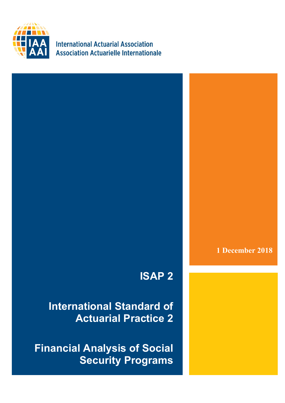

**International Actuarial Association Association Actuarielle Internationale** 

**1 December 2018**

# **ISAP 2**

**International Standard of Actuarial Practice 2**

**Financial Analysis of Social Security Programs**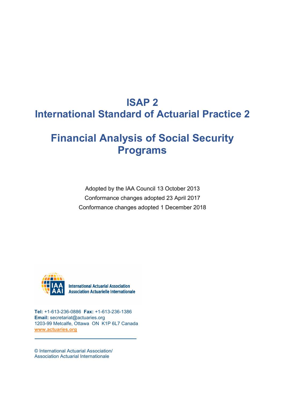## **ISAP 2 International Standard of Actuarial Practice 2**

### **Financial Analysis of Social Security Programs**

Adopted by the IAA Council 13 October 2013 Conformance changes adopted 23 April 2017 Conformance changes adopted 1 December 2018



**International Actuarial Association Association Actuarielle Internationale** 

**Tel:** +1-613-236-0886 **Fax:** +1-613-236-1386 **Email:** secretariat@actuaries.org 1203-99 Metcalfe, Ottawa ON K1P 6L7 Canada **[www.actuaries.org](http://www.actuaries.org/)**

© International Actuarial Association/ Association Actuarial Internationale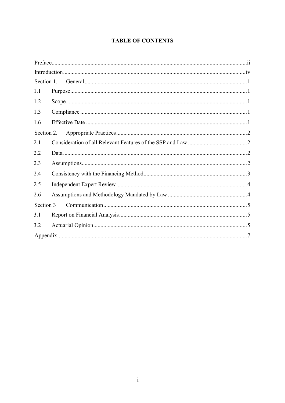### **TABLE OF CONTENTS**

| Section 1. |  |
|------------|--|
| 1.1        |  |
| 1.2        |  |
| 1.3        |  |
| 1.6        |  |
| Section 2. |  |
| 2.1        |  |
| 2.2        |  |
| 2.3        |  |
| 2.4        |  |
| 2.5        |  |
| 2.6        |  |
| Section 3  |  |
| 3.1        |  |
| 3.2        |  |
|            |  |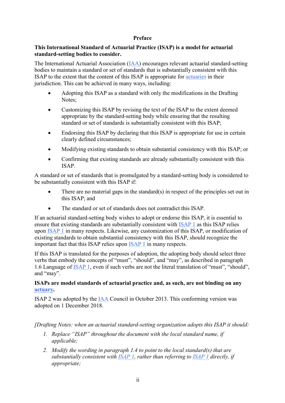#### <span id="page-3-0"></span>**Preface**

#### **This International Standard of Actuarial Practice (ISAP) is a model for actuarial standard-setting bodies to consider.**

The International Actuarial Association [\(IAA\)](https://www.actuaries.org/IAA/Documents/CTTEES_ASC/ISAPs_Glossary_Terms/IAA.html) encourages relevant actuarial standard-setting bodies to maintain a standard or set of standards that is substantially consistent with this ISAP to the extent that the content of this ISAP is appropriate for [actuaries](https://www.actuaries.org/IAA/Documents/CTTEES_ASC/ISAPs_Glossary_Terms/IAA.html) in their jurisdiction. This can be achieved in many ways, including:

- Adopting this ISAP as a standard with only the modifications in the Drafting Notes;
- Customizing this ISAP by revising the text of the ISAP to the extent deemed appropriate by the standard-setting body while ensuring that the resulting standard or set of standards is substantially consistent with this ISAP;
- Endorsing this ISAP by declaring that this ISAP is appropriate for use in certain clearly defined circumstances;
- Modifying existing standards to obtain substantial consistency with this ISAP; or
- Confirming that existing standards are already substantially consistent with this ISAP.

A standard or set of standards that is promulgated by a standard-setting body is considered to be substantially consistent with this ISAP if:

- There are no material gaps in the standard $(s)$  in respect of the principles set out in this ISAP; and
- The standard or set of standards does not contradict this ISAP.

If an actuarial standard-setting body wishes to adopt or endorse this ISAP, it is essential to ensure that existing standards are substantially consistent with [ISAP 1](https://www.actuaries.org/IAA/Documents/CTTEES_ASC/Final_ISAPs_Posted/ISAP1_Review_adopted_1Dec2018.pdf) as this ISAP relies upon [ISAP 1](https://www.actuaries.org/IAA/Documents/CTTEES_ASC/Final_ISAPs_Posted/ISAP1_Review_adopted_1Dec2018.pdf) in many respects. Likewise, any customization of this ISAP, or modification of existing standards to obtain substantial consistency with this ISAP, should recognize the important fact that this ISAP relies upon [ISAP 1](https://www.actuaries.org/IAA/Documents/CTTEES_ASC/Final_ISAPs_Posted/ISAP1_Review_adopted_1Dec2018.pdf) in many respects.

If this ISAP is translated for the purposes of adoption, the adopting body should select three verbs that embody the concepts of "must", "should", and "may", as described in paragraph 1.6 Language of [ISAP 1,](https://www.actuaries.org/IAA/Documents/CTTEES_ASC/Final_ISAPs_Posted/ISAP1_Review_adopted_1Dec2018.pdf) even if such verbs are not the literal translation of "must", "should", and "may".

#### **ISAPs are model standards of actuarial practice and, as such, are not binding on any [actuary.](https://www.actuaries.org/IAA/Documents/CTTEES_ASC/ISAPs_Glossary_Terms/IAA.html)**

ISAP 2 was adopted by the [IAA](https://www.actuaries.org/IAA/Documents/CTTEES_ASC/ISAPs_Glossary_Terms/IAA.html) Council in October 2013. This conforming version was adopted on 1 December 2018.

*[Drafting Notes: when an actuarial standard-setting organization adopts this ISAP it should:*

- *1. Replace "ISAP" throughout the document with the local standard name, if applicable;*
- *2. Modify the wording in paragraph 1.4 to point to the local standard(s) that are substantially consistent with [ISAP 1,](https://www.actuaries.org/IAA/Documents/CTTEES_ASC/Final_ISAPs_Posted/ISAP1_Review_adopted_1Dec2018.pdf) rather than referring to [ISAP 1](https://www.actuaries.org/IAA/Documents/CTTEES_ASC/Final_ISAPs_Posted/ISAP1_Review_adopted_1Dec2018.pdf) directly, if appropriate;*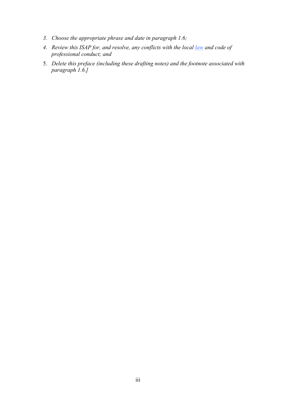- *3. Choose the appropriate phrase and date in paragraph 1.6;*
- *4. Review this ISAP for, and resolve, any conflicts with the local [law](https://www.actuaries.org/IAA/Documents/CTTEES_ASC/ISAPs_Glossary_Terms/law.html) and code of professional conduct; and*
- 5. *Delete this preface (including these drafting notes) and the footnote associated with paragraph 1.6.]*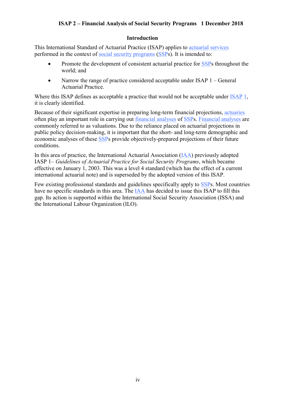#### <span id="page-5-0"></span>**Introduction**

This International Standard of Actuarial Practice (ISAP) applies to [actuarial services](https://www.actuaries.org/IAA/Documents/CTTEES_ASC/ISAPs_Glossary_Terms/actuarial_services.html) performed in the context of [social security programs](https://www.actuaries.org/IAA/Documents/CTTEES_ASC/ISAPs_Glossary_Terms/social_security_program.html) [\(SSPs](https://www.actuaries.org/IAA/Documents/CTTEES_ASC/ISAPs_Glossary_Terms/social_security_program.html)). It is intended to:

- Promote the development of consistent actuarial practice for [SSPs](https://www.actuaries.org/IAA/Documents/CTTEES_ASC/ISAPs_Glossary_Terms/social_security_program.html) throughout the world; and
- Narrow the range of practice considered acceptable under ISAP 1 General Actuarial Practice.

Where this ISAP defines as acceptable a practice that would not be acceptable under [ISAP 1,](https://www.actuaries.org/IAA/Documents/CTTEES_ASC/Final_ISAPs_Posted/ISAP1_Review_adopted_1Dec2018.pdf) it is clearly identified.

Because of their significant expertise in preparing long-term financial projections, [actuaries](https://www.actuaries.org/IAA/Documents/CTTEES_ASC/ISAPs_Glossary_Terms/IAA.html) often play an important role in carrying out [financial analyses](https://www.actuaries.org/IAA/Documents/CTTEES_ASC/ISAPs_Glossary_Terms/financial_analysis.html) of [SSPs](https://www.actuaries.org/IAA/Documents/CTTEES_ASC/ISAPs_Glossary_Terms/social_security_program.html). [Financial analyses](https://www.actuaries.org/IAA/Documents/CTTEES_ASC/ISAPs_Glossary_Terms/financial_analysis.html) are commonly referred to as valuations. Due to the reliance placed on actuarial projections in public policy decision-making, it is important that the short- and long-term demographic and economic analyses of these [SSPs](https://www.actuaries.org/IAA/Documents/CTTEES_ASC/ISAPs_Glossary_Terms/social_security_program.html) provide objectively-prepared projections of their future conditions.

In this area of practice, the International Actuarial Association [\(IAA\)](https://www.actuaries.org/IAA/Documents/CTTEES_ASC/ISAPs_Glossary_Terms/IAA.html) previously adopted IASP 1*– Guidelines of Actuarial Practice for Social Security Programs*, which became effective on January 1, 2003. This was a level 4 standard (which has the effect of a current international actuarial note) and is superseded by the adopted version of this ISAP.

Few existing professional standards and guidelines specifically apply to [SSPs](https://www.actuaries.org/IAA/Documents/CTTEES_ASC/ISAPs_Glossary_Terms/social_security_program.html). Most countries have no specific standards in this area. The [IAA](https://www.actuaries.org/IAA/Documents/CTTEES_ASC/ISAPs_Glossary_Terms/IAA.html) has decided to issue this ISAP to fill this gap. Its action is supported within the International Social Security Association (ISSA) and the International Labour Organization (ILO).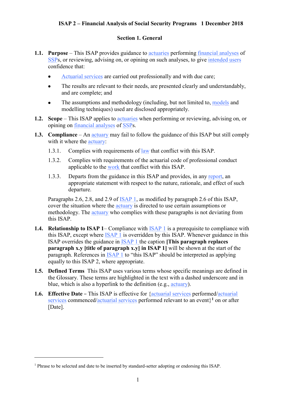#### <span id="page-6-0"></span>**Section 1. General**

- <span id="page-6-1"></span>**1.1. Purpose** – This ISAP provides guidance to [actuaries](https://www.actuaries.org/IAA/Documents/CTTEES_ASC/ISAPs_Glossary_Terms/IAA.html) performing [financial analyses](https://www.actuaries.org/IAA/Documents/CTTEES_ASC/ISAPs_Glossary_Terms/financial_analysis.html) of [SSPs,](https://www.actuaries.org/IAA/Documents/CTTEES_ASC/ISAPs_Glossary_Terms/social_security_program.html) or reviewing, advising on, or opining on such analyses, to give [intended users](https://www.actuaries.org/IAA/Documents/CTTEES_ASC/ISAPs_Glossary_Terms/intended_user.html) confidence that:
	- [Actuarial services](https://www.actuaries.org/IAA/Documents/CTTEES_ASC/ISAPs_Glossary_Terms/actuarial_services.html) are carried out professionally and with due care;
	- The results are relevant to their needs, are presented clearly and understandably, and are complete; and
	- The assumptions and methodology (including, but not limited to, [models](https://www.actuaries.org/IAA/Documents/CTTEES_ASC/ISAPs_Glossary_Terms/model.html) and modelling techniques) used are disclosed appropriately.
- <span id="page-6-2"></span>**1.2. Scope** – This ISAP applies to [actuaries](https://www.actuaries.org/IAA/Documents/CTTEES_ASC/ISAPs_Glossary_Terms/IAA.html) when performing or reviewing, advising on, or opining on [financial analyses](https://www.actuaries.org/IAA/Documents/CTTEES_ASC/ISAPs_Glossary_Terms/financial_analysis.html) of [SSPs.](https://www.actuaries.org/IAA/Documents/CTTEES_ASC/ISAPs_Glossary_Terms/social_security_program.html)
- <span id="page-6-3"></span>**1.3. Compliance** – An [actuary](https://www.actuaries.org/IAA/Documents/CTTEES_ASC/ISAPs_Glossary_Terms/IAA.html) may fail to follow the guidance of this ISAP but still comply with it where the *actuary*:
	- 1.3.1. Complies with requirements of [law](https://www.actuaries.org/IAA/Documents/CTTEES_ASC/ISAPs_Glossary_Terms/law.html) that conflict with this ISAP.
	- 1.3.2. Complies with requirements of the actuarial code of professional conduct applicable to the [work](https://www.actuaries.org/IAA/Documents/CTTEES_ASC/ISAPs_Glossary_Terms/work.html) that conflict with this ISAP.
	- 1.3.3. Departs from the guidance in this ISAP and provides, in any [report,](https://www.actuaries.org/IAA/Documents/CTTEES_ASC/ISAPs_Glossary_Terms/report.html) an appropriate statement with respect to the nature, rationale, and effect of such departure.

Paragraphs 2.6, 2.8, and 2.9 of **ISAP 1**, as modified by paragraph 2.6 of this ISAP, cover the situation where the **actuary** is directed to use certain assumptions or methodology. The [actuary](https://www.actuaries.org/IAA/Documents/CTTEES_ASC/ISAPs_Glossary_Terms/IAA.html) who complies with these paragraphs is not deviating from this ISAP.

- **1.4. Relationship to ISAP 1** Compliance with [ISAP 1](https://www.actuaries.org/IAA/Documents/CTTEES_ASC/Final_ISAPs_Posted/ISAP1_Review_adopted_1Dec2018.pdf) is a prerequisite to compliance with this ISAP, except where [ISAP 1](https://www.actuaries.org/IAA/Documents/CTTEES_ASC/Final_ISAPs_Posted/ISAP1_Review_adopted_1Dec2018.pdf) is overridden by this ISAP. Whenever guidance in this ISAP overrides the guidance in [ISAP 1](https://www.actuaries.org/IAA/Documents/CTTEES_ASC/Final_ISAPs_Posted/ISAP1_Review_adopted_1Dec2018.pdf) the caption **[This paragraph replaces paragraph x.y [title of paragraph x.y] in ISAP 1]** will be shown at the start of the paragraph. References in [ISAP 1](https://www.actuaries.org/IAA/Documents/CTTEES_ASC/Final_ISAPs_Posted/ISAP1_Review_adopted_1Dec2018.pdf) to "this ISAP" should be interpreted as applying equally to this ISAP 2, where appropriate.
- **1.5. Defined Terms** This ISAP uses various terms whose specific meanings are defined in the Glossary. These terms are highlighted in the text with a dashed underscore and in blue, which is also a hyperlink to the definition (e.g., [actuary\)](https://www.actuaries.org/IAA/Documents/CTTEES_ASC/ISAPs_Glossary_Terms/Actuary.html).
- <span id="page-6-4"></span>**1.6. Effective Date** – This ISAP is effective for [{actuarial services](https://www.actuaries.org/IAA/Documents/CTTEES_ASC/ISAPs_Glossary_Terms/Actuarial_Services.html) performed[/actuarial](https://www.actuaries.org/IAA/Documents/CTTEES_ASC/ISAPs_Glossary_Terms/Actuarial_Services.html)  [services](https://www.actuaries.org/IAA/Documents/CTTEES_ASC/ISAPs_Glossary_Terms/Actuarial_Services.html) commenced[/actuarial services](https://www.actuaries.org/IAA/Documents/CTTEES_ASC/ISAPs_Glossary_Terms/Actuarial_Services.html) performed relevant to an event} **<sup>1</sup>** on or after [Date].

1

<sup>&</sup>lt;sup>1</sup> Phrase to be selected and date to be inserted by standard-setter adopting or endorsing this ISAP.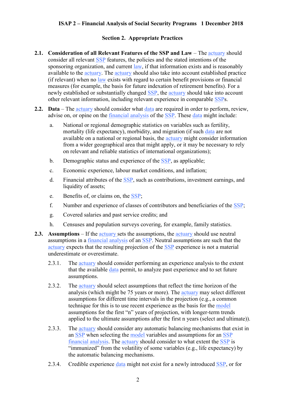#### <span id="page-7-1"></span><span id="page-7-0"></span>**Section 2. Appropriate Practices**

- **2.1. Consideration of all Relevant Features of the SSP and Law** The [actuary](https://www.actuaries.org/IAA/Documents/CTTEES_ASC/ISAPs_Glossary_Terms/Actuary.html) should consider all relevant [SSP](https://www.actuaries.org/IAA/Documents/CTTEES_ASC/ISAPs_Glossary_Terms/social_security_program.html) features, the policies and the stated intentions of the sponsoring organization, and current [law,](https://www.actuaries.org/IAA/Documents/CTTEES_ASC/ISAPs_Glossary_Terms/law.html) if that information exists and is reasonably available to the [actuary.](https://www.actuaries.org/IAA/Documents/CTTEES_ASC/ISAPs_Glossary_Terms/Actuary.html) The [actuary](https://www.actuaries.org/IAA/Documents/CTTEES_ASC/ISAPs_Glossary_Terms/Actuary.html) should also take into account established practice (if relevant) when no [law](https://www.actuaries.org/IAA/Documents/CTTEES_ASC/ISAPs_Glossary_Terms/law.html) exists with regard to certain benefit provisions or financial measures (for example, the basis for future indexation of retirement benefits). For a newly established or substantially changed [SSP,](https://www.actuaries.org/IAA/Documents/CTTEES_ASC/ISAPs_Glossary_Terms/social_security_program.html) the [actuary](https://www.actuaries.org/IAA/Documents/CTTEES_ASC/ISAPs_Glossary_Terms/Actuary.html) should take into account other relevant information, including relevant experience in comparable [SSPs.](https://www.actuaries.org/IAA/Documents/CTTEES_ASC/ISAPs_Glossary_Terms/social_security_program.html)
- <span id="page-7-2"></span>**2.2. Data** – The [actuary](https://www.actuaries.org/IAA/Documents/CTTEES_ASC/ISAPs_Glossary_Terms/Actuary.html) should consider what [data](https://www.actuaries.org/IAA/Documents/CTTEES_ASC/ISAPs_Glossary_Terms/Data.html) are required in order to perform, review, advise on, or opine on the [financial analysis](https://www.actuaries.org/IAA/Documents/CTTEES_ASC/ISAPs_Glossary_Terms/Financial_Analysis.html) of the [SSP.](https://www.actuaries.org/IAA/Documents/CTTEES_ASC/ISAPs_Glossary_Terms/social_security_program.html) These [data](https://www.actuaries.org/IAA/Documents/CTTEES_ASC/ISAPs_Glossary_Terms/Data.html) might include:
	- a. National or regional demographic statistics on variables such as fertility, mortality (life expectancy), morbidity, and migration (if such [data](https://www.actuaries.org/IAA/Documents/CTTEES_ASC/ISAPs_Glossary_Terms/Data.html) are not available on a national or regional basis, the [actuary](https://www.actuaries.org/IAA/Documents/CTTEES_ASC/ISAPs_Glossary_Terms/Actuary.html) might consider information from a wider geographical area that might apply, or it may be necessary to rely on relevant and reliable statistics of international organizations);
	- b. Demographic status and experience of the [SSP,](https://www.actuaries.org/IAA/Documents/CTTEES_ASC/ISAPs_Glossary_Terms/social_security_program.html) as applicable;
	- c. Economic experience, labour market conditions, and inflation;
	- d. Financial attributes of the [SSP,](https://www.actuaries.org/IAA/Documents/CTTEES_ASC/ISAPs_Glossary_Terms/social_security_program.html) such as contributions, investment earnings, and liquidity of assets;
	- e. Benefits of, or claims on, the [SSP;](https://www.actuaries.org/IAA/Documents/CTTEES_ASC/ISAPs_Glossary_Terms/social_security_program.html)
	- f. Number and experience of classes of contributors and beneficiaries of the [SSP;](https://www.actuaries.org/IAA/Documents/CTTEES_ASC/ISAPs_Glossary_Terms/social_security_program.html)
	- g. Covered salaries and past service credits; and
	- h. Censuses and population surveys covering, for example, family statistics.
- <span id="page-7-3"></span>**2.3. Assumptions** – If the [actuary](https://www.actuaries.org/IAA/Documents/CTTEES_ASC/ISAPs_Glossary_Terms/Actuary.html) sets the assumptions, the [actuary](https://www.actuaries.org/IAA/Documents/CTTEES_ASC/ISAPs_Glossary_Terms/Actuary.html) should use neutral assumptions in a [financial analysis](https://www.actuaries.org/IAA/Documents/CTTEES_ASC/ISAPs_Glossary_Terms/Financial_Analysis.html) of an [SSP.](https://www.actuaries.org/IAA/Documents/CTTEES_ASC/ISAPs_Glossary_Terms/social_security_program.html) Neutral assumptions are such that the [actuary](https://www.actuaries.org/IAA/Documents/CTTEES_ASC/ISAPs_Glossary_Terms/Actuary.html) expects that the resulting projection of the [SSP](https://www.actuaries.org/IAA/Documents/CTTEES_ASC/ISAPs_Glossary_Terms/social_security_program.html) experience is not a material underestimate or overestimate.
	- 2.3.1. The [actuary](https://www.actuaries.org/IAA/Documents/CTTEES_ASC/ISAPs_Glossary_Terms/Actuary.html) should consider performing an experience analysis to the extent that the available [data](https://www.actuaries.org/IAA/Documents/CTTEES_ASC/ISAPs_Glossary_Terms/Data.html) permit, to analyze past experience and to set future assumptions.
	- 2.3.2. The [actuary](https://www.actuaries.org/IAA/Documents/CTTEES_ASC/ISAPs_Glossary_Terms/Actuary.html) should select assumptions that reflect the time horizon of the analysis (which might be 75 years or more). The [actuary](https://www.actuaries.org/IAA/Documents/CTTEES_ASC/ISAPs_Glossary_Terms/Actuary.html) may select different assumptions for different time intervals in the projection (e.g., a common technique for this is to use recent experience as the basis for the [model](https://www.actuaries.org/IAA/Documents/CTTEES_ASC/ISAPs_Glossary_Terms/Model.html) assumptions for the first "n" years of projection, with longer-term trends applied to the ultimate assumptions after the first n years (select and ultimate)).
	- 2.3.3. The [actuary](https://www.actuaries.org/IAA/Documents/CTTEES_ASC/ISAPs_Glossary_Terms/Actuary.html) should consider any automatic balancing mechanisms that exist in an [SSP](https://www.actuaries.org/IAA/Documents/CTTEES_ASC/ISAPs_Glossary_Terms/Social_Security_Program.html) when selecting the [model](https://www.actuaries.org/IAA/Documents/CTTEES_ASC/ISAPs_Glossary_Terms/Model.html) variables and assumptions for an [SSP](https://www.actuaries.org/IAA/Documents/CTTEES_ASC/ISAPs_Glossary_Terms/Social_Security_Program.html) [financial analysis.](https://www.actuaries.org/IAA/Documents/CTTEES_ASC/ISAPs_Glossary_Terms/Financial_Analysis.html) The [actuary](https://www.actuaries.org/IAA/Documents/CTTEES_ASC/ISAPs_Glossary_Terms/Actuary.html) should consider to what extent the [SSP](https://www.actuaries.org/IAA/Documents/CTTEES_ASC/ISAPs_Glossary_Terms/Social_Security_Program.html) is "immunized" from the volatility of some variables (e.g., life expectancy) by the automatic balancing mechanisms.
	- 2.3.4. Credible experience [data](https://www.actuaries.org/IAA/Documents/CTTEES_ASC/ISAPs_Glossary_Terms/Data.html) might not exist for a newly introduced [SSP,](https://www.actuaries.org/IAA/Documents/CTTEES_ASC/ISAPs_Glossary_Terms/Social_Security_Program.html) or for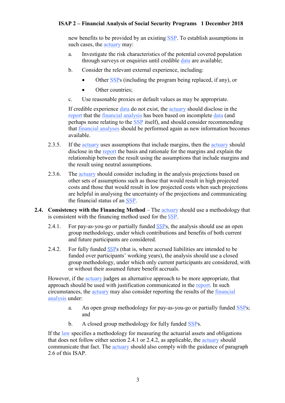new benefits to be provided by an existing [SSP.](https://www.actuaries.org/IAA/Documents/CTTEES_ASC/ISAPs_Glossary_Terms/Social_Security_Program.html) To establish assumptions in such cases, the [actuary](https://www.actuaries.org/IAA/Documents/CTTEES_ASC/ISAPs_Glossary_Terms/Actuary.html) may:

- a. Investigate the risk characteristics of the potential covered population through surveys or enquiries until credible [data](https://www.actuaries.org/IAA/Documents/CTTEES_ASC/ISAPs_Glossary_Terms/Data.html) are available;
- b. Consider the relevant external experience, including:
	- Other [SSPs](https://www.actuaries.org/IAA/Documents/CTTEES_ASC/ISAPs_Glossary_Terms/Social_Security_Program.html) (including the program being replaced, if any), or
	- Other countries:
- c. Use reasonable proxies or default values as may be appropriate.

If credible experience [data](https://www.actuaries.org/IAA/Documents/CTTEES_ASC/ISAPs_Glossary_Terms/Data.html) do not exist, the [actuary](https://www.actuaries.org/IAA/Documents/CTTEES_ASC/ISAPs_Glossary_Terms/Actuary.html) should disclose in the [report](https://www.actuaries.org/IAA/Documents/CTTEES_ASC/ISAPs_Glossary_Terms/Report.html) that the [financial analysis](https://www.actuaries.org/IAA/Documents/CTTEES_ASC/ISAPs_Glossary_Terms/Financial_Analysis.html) has been based on incomplete [data](https://www.actuaries.org/IAA/Documents/CTTEES_ASC/ISAPs_Glossary_Terms/Data.html) (and perhaps none relating to the [SSP](https://www.actuaries.org/IAA/Documents/CTTEES_ASC/ISAPs_Glossary_Terms/Social_Security_Program.html) itself), and should consider recommending that [financial analyses](https://www.actuaries.org/IAA/Documents/CTTEES_ASC/ISAPs_Glossary_Terms/Financial_Analysis.html) should be performed again as new information becomes available.

- 2.3.5. If the [actuary](https://www.actuaries.org/IAA/Documents/CTTEES_ASC/ISAPs_Glossary_Terms/Actuary.html) uses assumptions that include margins, then the actuary should disclose in the [report](https://www.actuaries.org/IAA/Documents/CTTEES_ASC/ISAPs_Glossary_Terms/Report.html) the basis and rationale for the margins and explain the relationship between the result using the assumptions that include margins and the result using neutral assumptions.
- <span id="page-8-0"></span>2.3.6. The [actuary](https://www.actuaries.org/IAA/Documents/CTTEES_ASC/ISAPs_Glossary_Terms/Actuary.html) should consider including in the analysis projections based on other sets of assumptions such as those that would result in high projected costs and those that would result in low projected costs when such projections are helpful in analysing the uncertainty of the projections and communicating the financial status of an [SSP.](https://www.actuaries.org/IAA/Documents/CTTEES_ASC/ISAPs_Glossary_Terms/Social_Security_Program.html)
- **2.4.** Consistency with the Financing Method The [actuary](https://www.actuaries.org/IAA/Documents/CTTEES_ASC/ISAPs_Glossary_Terms/Actuary.html) should use a methodology that is consistent with the financing method used for the [SSP](https://www.actuaries.org/IAA/Documents/CTTEES_ASC/ISAPs_Glossary_Terms/Social_Security_Program.html).
	- 2.4.1. For pay-as-you-go or partially funded  $SSPs$  $SSPs$ , the analysis should use an open group methodology, under which contributions and benefits of both current and future participants are considered.
	- 2.4.2. For fully funded [SSP](https://www.actuaries.org/IAA/Documents/CTTEES_ASC/ISAPs_Glossary_Terms/Social_Security_Program.html)s (that is, where accrued liabilities are intended to be funded over participants' working years), the analysis should use a closed group methodology, under which only current participants are considered, with or without their assumed future benefit accruals.

However, if the [actuary](https://www.actuaries.org/IAA/Documents/CTTEES_ASC/ISAPs_Glossary_Terms/Actuary.html) judges an alternative approach to be more appropriate, that approach should be used with justification communicated in the [report.](https://www.actuaries.org/IAA/Documents/CTTEES_ASC/ISAPs_Glossary_Terms/Report.html) In such circumstances, the [actuary](https://www.actuaries.org/IAA/Documents/CTTEES_ASC/ISAPs_Glossary_Terms/Actuary.html) may also consider reporting the results of the [financial](https://www.actuaries.org/IAA/Documents/CTTEES_ASC/ISAPs_Glossary_Terms/Financial_Analysis.html)  [analysis](https://www.actuaries.org/IAA/Documents/CTTEES_ASC/ISAPs_Glossary_Terms/Financial_Analysis.html) under:

- a. An open group methodology for pay-as-you-go or partially funded [SSPs](https://www.actuaries.org/IAA/Documents/CTTEES_ASC/ISAPs_Glossary_Terms/social_security_program.html); and
- b. A closed group methodology for fully funded [SSPs](https://www.actuaries.org/IAA/Documents/CTTEES_ASC/ISAPs_Glossary_Terms/social_security_program.html).

If the [law](https://www.actuaries.org/IAA/Documents/CTTEES_ASC/ISAPs_Glossary_Terms/Law.html) specifies a methodology for measuring the actuarial assets and obligations that does not follow either section 2.4.1 or 2.4.2, as applicable, the [actuary](https://www.actuaries.org/IAA/Documents/CTTEES_ASC/ISAPs_Glossary_Terms/Actuary.html) should communicate that fact. The [actuary](https://www.actuaries.org/IAA/Documents/CTTEES_ASC/ISAPs_Glossary_Terms/Actuary.html) should also comply with the guidance of paragraph 2.6 of this ISAP.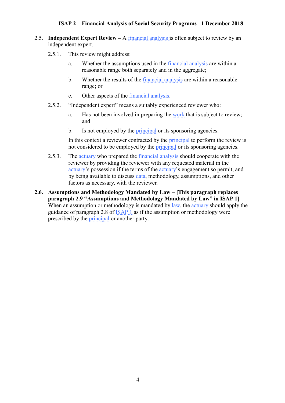- <span id="page-9-0"></span>2.5. **Independent Expert Review –** A [financial analysis](https://www.actuaries.org/IAA/Documents/CTTEES_ASC/ISAPs_Glossary_Terms/Financial_Analysis.html) is often subject to review by an independent expert.
	- 2.5.1. This review might address:
		- a. Whether the assumptions used in the [financial analysis](https://www.actuaries.org/IAA/Documents/CTTEES_ASC/ISAPs_Glossary_Terms/Financial_Analysis.html) are within a reasonable range both separately and in the aggregate;
		- b. Whether the results of the [financial analysis](https://www.actuaries.org/IAA/Documents/CTTEES_ASC/ISAPs_Glossary_Terms/Financial_Analysis.html) are within a reasonable range; or
		- c. Other aspects of the [financial analysis.](https://www.actuaries.org/IAA/Documents/CTTEES_ASC/ISAPs_Glossary_Terms/Financial_Analysis.html)
	- 2.5.2. "Independent expert" means a suitably experienced reviewer who:
		- a. Has not been involved in preparing the [work](https://www.actuaries.org/IAA/Documents/CTTEES_ASC/ISAPs_Glossary_Terms/Work.html) that is subject to review; and
		- b. Is not employed by the **principal** or its sponsoring agencies.

<span id="page-9-1"></span>In this context a reviewer contracted by the [principal](https://www.actuaries.org/IAA/Documents/CTTEES_ASC/ISAPs_Glossary_Terms/Principal.html) to perform the review is not considered to be employed by the **principal** or its sponsoring agencies.

- 2.5.3. The [actuary](https://www.actuaries.org/IAA/Documents/CTTEES_ASC/ISAPs_Glossary_Terms/Actuary.html) who prepared the [financial analysis](https://www.actuaries.org/IAA/Documents/CTTEES_ASC/ISAPs_Glossary_Terms/Financial_Analysis.html) should cooperate with the reviewer by providing the reviewer with any requested material in the [actuary](https://www.actuaries.org/IAA/Documents/CTTEES_ASC/ISAPs_Glossary_Terms/Actuary.html)'s possession if the terms of the [actuary](https://www.actuaries.org/IAA/Documents/CTTEES_ASC/ISAPs_Glossary_Terms/Actuary.html)'s engagement so permit, and by being available to discuss [data,](https://www.actuaries.org/IAA/Documents/CTTEES_ASC/ISAPs_Glossary_Terms/Data.html) methodology, assumptions, and other factors as necessary, with the reviewer.
- **2.6. Assumptions and Methodology Mandated by Law [This paragraph replaces paragraph 2.9 "Assumptions and Methodology Mandated by Law" in ISAP 1]**  When an assumption or methodology is mandated by [law,](https://www.actuaries.org/IAA/Documents/CTTEES_ASC/ISAPs_Glossary_Terms/Law.html) the [actuary](https://www.actuaries.org/IAA/Documents/CTTEES_ASC/ISAPs_Glossary_Terms/Actuary.html) should apply the guidance of paragraph 2.8 of [ISAP 1](https://www.actuaries.org/IAA/Documents/CTTEES_ASC/Final_ISAPs_Posted/ISAP1_Review_adopted_1Dec2018.pdf) as if the assumption or methodology were prescribed by the [principal](https://www.actuaries.org/IAA/Documents/CTTEES_ASC/ISAPs_Glossary_Terms/Principal.html) or another party.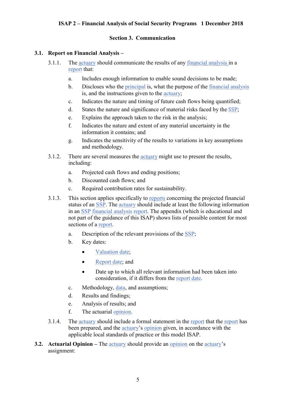#### <span id="page-10-1"></span><span id="page-10-0"></span>**Section 3. Communication**

#### **3.1. Report on Financial Analysis –**

- 3.1.1. The [actuary](https://www.actuaries.org/IAA/Documents/CTTEES_ASC/ISAPs_Glossary_Terms/Actuary.html) should communicate the results of any [financial analysis](https://www.actuaries.org/IAA/Documents/CTTEES_ASC/ISAPs_Glossary_Terms/Financial_Analysis.html) in a [report](https://www.actuaries.org/IAA/Documents/CTTEES_ASC/ISAPs_Glossary_Terms/Report.html) that:
	- a. Includes enough information to enable sound decisions to be made;
	- b. Discloses who the [principal](https://www.actuaries.org/IAA/Documents/CTTEES_ASC/ISAPs_Glossary_Terms/Principal.html) is, what the purpose of the [financial analysis](https://www.actuaries.org/IAA/Documents/CTTEES_ASC/ISAPs_Glossary_Terms/Financial_Analysis.html) is, and the instructions given to the [actuary;](https://www.actuaries.org/IAA/Documents/CTTEES_ASC/ISAPs_Glossary_Terms/Actuary.html)
	- c. Indicates the nature and timing of future cash flows being quantified;
	- d. States the nature and significance of material risks faced by the  $SSP$ ;
	- e. Explains the approach taken to the risk in the analysis;
	- f. Indicates the nature and extent of any material uncertainty in the information it contains; and
	- g. Indicates the sensitivity of the results to variations in key assumptions and methodology.
- 3.1.2. There are several measures the [actuary](https://www.actuaries.org/IAA/Documents/CTTEES_ASC/ISAPs_Glossary_Terms/Actuary.html) might use to present the results, including:
	- a. Projected cash flows and ending positions;
	- b. Discounted cash flows; and
	- c. Required contribution rates for sustainability.
- 3.1.3. This section applies specifically to [reports](https://www.actuaries.org/IAA/Documents/CTTEES_ASC/ISAPs_Glossary_Terms/Report.html) concerning the projected financial status of an [SSP.](https://www.actuaries.org/IAA/Documents/CTTEES_ASC/ISAPs_Glossary_Terms/Social_Security_Program.html) The [actuary](https://www.actuaries.org/IAA/Documents/CTTEES_ASC/ISAPs_Glossary_Terms/Actuary.html) should include at least the following information in an [SSP](https://www.actuaries.org/IAA/Documents/CTTEES_ASC/ISAPs_Glossary_Terms/Social_Security_Program.html) [financial analysis](https://www.actuaries.org/IAA/Documents/CTTEES_ASC/ISAPs_Glossary_Terms/Financial_Analysis.html) [report.](https://www.actuaries.org/IAA/Documents/CTTEES_ASC/ISAPs_Glossary_Terms/Report.html) The appendix (which is educational and not part of the guidance of this ISAP) shows lists of possible content for most sections of a [report.](https://www.actuaries.org/IAA/Documents/CTTEES_ASC/ISAPs_Glossary_Terms/Report.html)
	- a. Description of the relevant provisions of the [SSP;](https://www.actuaries.org/IAA/Documents/CTTEES_ASC/ISAPs_Glossary_Terms/Social_Security_Program.html)
	- b. Key dates:
		- [Valuation date;](https://www.actuaries.org/IAA/Documents/CTTEES_ASC/ISAPs_Glossary_Terms/Valuation_Data.html)
		- [Report date;](https://www.actuaries.org/IAA/Documents/CTTEES_ASC/ISAPs_Glossary_Terms/Report_Date.html) and
		- Date up to which all relevant information had been taken into consideration, if it differs from the [report date.](https://www.actuaries.org/IAA/Documents/CTTEES_ASC/ISAPs_Glossary_Terms/Report_Date.html)
	- c. Methodology, [data,](https://www.actuaries.org/IAA/Documents/CTTEES_ASC/ISAPs_Glossary_Terms/Data.html) and assumptions;
	- d. Results and findings;
	- e. Analysis of results; and
	- f. The actuarial [opinion.](https://www.actuaries.org/IAA/Documents/CTTEES_ASC/ISAPs_Glossary_Terms/Opinion.html)
- <span id="page-10-2"></span>3.1.4. The [actuary](https://www.actuaries.org/IAA/Documents/CTTEES_ASC/ISAPs_Glossary_Terms/Actuary.html) should include a formal statement in the [report](https://www.actuaries.org/IAA/Documents/CTTEES_ASC/ISAPs_Glossary_Terms/Report.html) that the report has been prepared, and the [actuary](https://www.actuaries.org/IAA/Documents/CTTEES_ASC/ISAPs_Glossary_Terms/Actuary.html)'s [opinion](https://www.actuaries.org/IAA/Documents/CTTEES_ASC/ISAPs_Glossary_Terms/Opinion.html) given, in accordance with the applicable local standards of practice or this model ISAP.
- **3.2. Actuarial Opinion –** The [actuary](https://www.actuaries.org/IAA/Documents/CTTEES_ASC/ISAPs_Glossary_Terms/Actuary.html) should provide an [opinion](https://www.actuaries.org/IAA/Documents/CTTEES_ASC/ISAPs_Glossary_Terms/Opinion.html) on the [actuary](https://www.actuaries.org/IAA/Documents/CTTEES_ASC/ISAPs_Glossary_Terms/Actuary.html)'s assignment: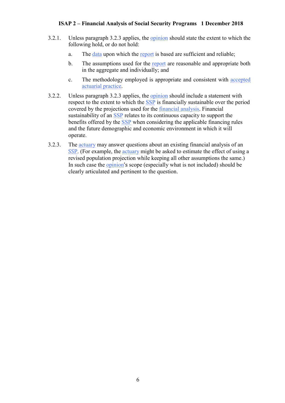- 3.2.1. Unless paragraph 3.2.3 applies, the [opinion](https://www.actuaries.org/IAA/Documents/CTTEES_ASC/ISAPs_Glossary_Terms/Opinion.html) should state the extent to which the following hold, or do not hold:
	- a. The [data](https://www.actuaries.org/IAA/Documents/CTTEES_ASC/ISAPs_Glossary_Terms/Data.html) upon which the [report](https://www.actuaries.org/IAA/Documents/CTTEES_ASC/ISAPs_Glossary_Terms/Report.html) is based are sufficient and reliable;
	- b. The assumptions used for the [report](https://www.actuaries.org/IAA/Documents/CTTEES_ASC/ISAPs_Glossary_Terms/Report.html) are reasonable and appropriate both in the aggregate and individually; and
	- c. The methodology employed is appropriate and consistent with [accepted](https://www.actuaries.org/IAA/Documents/CTTEES_ASC/ISAPs_Glossary_Terms/Accepted_Actuarial_Practice.html)  [actuarial practice.](https://www.actuaries.org/IAA/Documents/CTTEES_ASC/ISAPs_Glossary_Terms/Accepted_Actuarial_Practice.html)
- 3.2.2. Unless paragraph 3.2.3 applies, the [opinion](https://www.actuaries.org/IAA/Documents/CTTEES_ASC/ISAPs_Glossary_Terms/Opinion.html) should include a statement with respect to the extent to which the [SSP](https://www.actuaries.org/IAA/Documents/CTTEES_ASC/ISAPs_Glossary_Terms/Social_Security_Program.html) is financially sustainable over the period covered by the projections used for the [financial analysis.](https://www.actuaries.org/IAA/Documents/CTTEES_ASC/ISAPs_Glossary_Terms/Financial_Analysis.html) Financial sustainability of an [SSP](https://www.actuaries.org/IAA/Documents/CTTEES_ASC/ISAPs_Glossary_Terms/Social_Security_Program.html) relates to its continuous capacity to support the benefits offered by the [SSP](https://www.actuaries.org/IAA/Documents/CTTEES_ASC/ISAPs_Glossary_Terms/Social_Security_Program.html) when considering the applicable financing rules and the future demographic and economic environment in which it will operate.
- 3.2.3. The [actuary](https://www.actuaries.org/IAA/Documents/CTTEES_ASC/ISAPs_Glossary_Terms/Actuary.html) may answer questions about an existing financial analysis of an [SSP](https://www.actuaries.org/IAA/Documents/CTTEES_ASC/ISAPs_Glossary_Terms/Social_Security_Program.html). (For example, the [actuary](https://www.actuaries.org/IAA/Documents/CTTEES_ASC/ISAPs_Glossary_Terms/Actuary.html) might be asked to estimate the effect of using a revised population projection while keeping all other assumptions the same.) In such case the [opinion](https://www.actuaries.org/IAA/Documents/CTTEES_ASC/ISAPs_Glossary_Terms/Opinion.html)'s scope (especially what is not included) should be clearly articulated and pertinent to the question.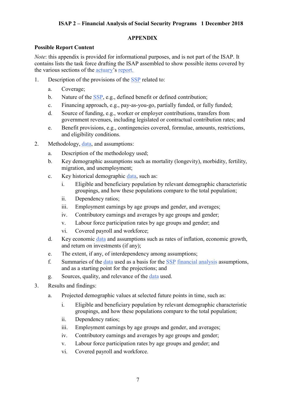#### <span id="page-12-0"></span>**APPENDIX**

#### **Possible Report Content**

*Note*: this appendix is provided for informational purposes, and is not part of the ISAP. It contains lists the task force drafting the ISAP assembled to show possible items covered by the various sections of the [actuary](https://www.actuaries.org/IAA/Documents/CTTEES_ASC/ISAPs_Glossary_Terms/Actuary.html)'s [report.](https://www.actuaries.org/IAA/Documents/CTTEES_ASC/ISAPs_Glossary_Terms/Report.html)

- 1. Description of the provisions of the [SSP](https://www.actuaries.org/IAA/Documents/CTTEES_ASC/ISAPs_Glossary_Terms/Social_Security_Program.html) related to:
	- a. Coverage;
	- b. Nature of the [SSP,](https://www.actuaries.org/IAA/Documents/CTTEES_ASC/ISAPs_Glossary_Terms/Social_Security_Program.html) e.g., defined benefit or defined contribution;
	- c. Financing approach, e.g., pay-as-you-go, partially funded, or fully funded;
	- d. Source of funding, e.g., worker or employer contributions, transfers from government revenues, including legislated or contractual contribution rates; and
	- e. Benefit provisions, e.g., contingencies covered, formulae, amounts, restrictions, and eligibility conditions.
- 2. Methodology, [data,](https://www.actuaries.org/IAA/Documents/CTTEES_ASC/ISAPs_Glossary_Terms/Data.html) and assumptions:
	- a. Description of the methodology used;
	- b. Key demographic assumptions such as mortality (longevity), morbidity, fertility, migration, and unemployment;
	- c. Key historical demographic [data,](https://www.actuaries.org/IAA/Documents/CTTEES_ASC/ISAPs_Glossary_Terms/Data.html) such as:
		- i. Eligible and beneficiary population by relevant demographic characteristic groupings, and how these populations compare to the total population;
		- ii. Dependency ratios;
		- iii. Employment earnings by age groups and gender, and averages;
		- iv. Contributory earnings and averages by age groups and gender;
		- v. Labour force participation rates by age groups and gender; and
		- vi. Covered payroll and workforce;
	- d. Key economic [data](https://www.actuaries.org/IAA/Documents/CTTEES_ASC/ISAPs_Glossary_Terms/Data.html) and assumptions such as rates of inflation, economic growth, and return on investments (if any);
	- e. The extent, if any, of interdependency among assumptions;
	- f. Summaries of the [data](https://www.actuaries.org/IAA/Documents/CTTEES_ASC/ISAPs_Glossary_Terms/Data.html) used as a basis for the [SSP](https://www.actuaries.org/IAA/Documents/CTTEES_ASC/ISAPs_Glossary_Terms/Social_Security_Program.html) [financial analysis](https://www.actuaries.org/IAA/Documents/CTTEES_ASC/ISAPs_Glossary_Terms/Financial_Analysis.html) assumptions, and as a starting point for the projections; and
	- g. Sources, quality, and relevance of the [data](https://www.actuaries.org/IAA/Documents/CTTEES_ASC/ISAPs_Glossary_Terms/Data.html) used.
- 3. Results and findings:
	- a. Projected demographic values at selected future points in time, such as:
		- i. Eligible and beneficiary population by relevant demographic characteristic groupings, and how these populations compare to the total population;
		- ii. Dependency ratios;
		- iii. Employment earnings by age groups and gender, and averages;
		- iv. Contributory earnings and averages by age groups and gender;
		- v. Labour force participation rates by age groups and gender; and
		- vi. Covered payroll and workforce.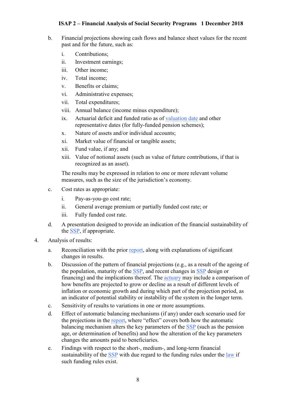- b. Financial projections showing cash flows and balance sheet values for the recent past and for the future, such as:
	- i. Contributions;
	- ii. Investment earnings;
	- iii. Other income;
	- iv. Total income;
	- v. Benefits or claims;
	- vi. Administrative expenses;
	- vii. Total expenditures;
	- viii. Annual balance (income minus expenditure);
	- ix. Actuarial deficit and funded ratio as of [valuation date](https://www.actuaries.org/IAA/Documents/CTTEES_ASC/ISAPs_Glossary_Terms/Valuation_Date.html) and other representative dates (for fully-funded pension schemes);
	- x. Nature of assets and/or individual accounts;
	- xi. Market value of financial or tangible assets;
	- xii. Fund value, if any; and
	- xiii. Value of notional assets (such as value of future contributions, if that is recognized as an asset).

The results may be expressed in relation to one or more relevant volume measures, such as the size of the jurisdiction's economy.

- c. Cost rates as appropriate:
	- i. Pay-as-you-go cost rate;
	- ii. General average premium or partially funded cost rate; or
	- iii. Fully funded cost rate.
- d. A presentation designed to provide an indication of the financial sustainability of the [SSP,](https://www.actuaries.org/IAA/Documents/CTTEES_ASC/ISAPs_Glossary_Terms/social_security_program.html) if appropriate.
- 4. Analysis of results:
	- a. Reconciliation with the prior [report,](https://www.actuaries.org/IAA/Documents/CTTEES_ASC/ISAPs_Glossary_Terms/Report.html) along with explanations of significant changes in results.
	- b. Discussion of the pattern of financial projections (e.g., as a result of the ageing of the population, maturity of the [SSP,](https://www.actuaries.org/IAA/Documents/CTTEES_ASC/ISAPs_Glossary_Terms/social_security_program.html) and recent changes in [SSP](https://www.actuaries.org/IAA/Documents/CTTEES_ASC/ISAPs_Glossary_Terms/social_security_program.html) design or financing) and the implications thereof. The [actuary](https://www.actuaries.org/IAA/Documents/CTTEES_ASC/ISAPs_Glossary_Terms/Actuary.html) may include a comparison of how benefits are projected to grow or decline as a result of different levels of inflation or economic growth and during which part of the projection period, as an indicator of potential stability or instability of the system in the longer term.
	- c. Sensitivity of results to variations in one or more assumptions.
	- d. Effect of automatic balancing mechanisms (if any) under each scenario used for the projections in the [report](https://www.actuaries.org/IAA/Documents/CTTEES_ASC/ISAPs_Glossary_Terms/Report.html), where "effect" covers both how the automatic balancing mechanism alters the key parameters of the [SSP](https://www.actuaries.org/IAA/Documents/CTTEES_ASC/ISAPs_Glossary_Terms/Social_Security_Program.html) (such as the pension age, or determination of benefits) and how the alteration of the key parameters changes the amounts paid to beneficiaries.
	- e. Findings with respect to the short-, medium-, and long-term financial sustainability of the [SSP](https://www.actuaries.org/IAA/Documents/CTTEES_ASC/ISAPs_Glossary_Terms/Social_Security_Program.html) with due regard to the funding rules under the [law](https://www.actuaries.org/IAA/Documents/CTTEES_ASC/ISAPs_Glossary_Terms/Law.html) if such funding rules exist.